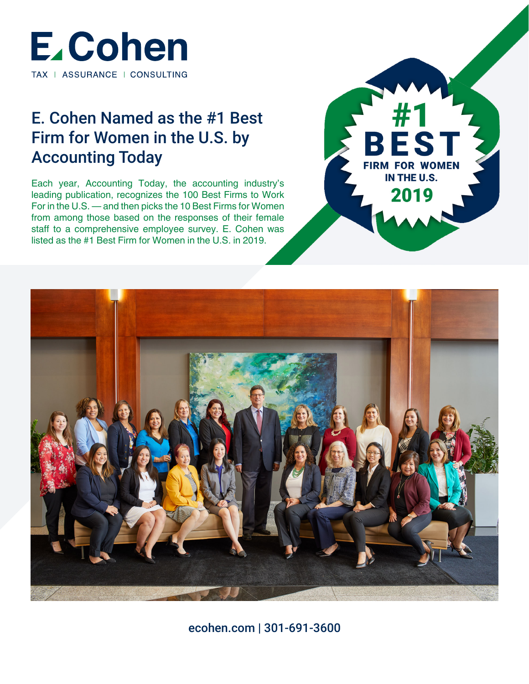

# E. Cohen Named as the #1 Best Firm for Women in the U.S. by Accounting Today

Each year, Accounting Today, the accounting industry's leading publication, recognizes the 100 Best Firms to Work For in the U.S. — and then picks the 10 Best Firms for Women from among those based on the responses of their female staff to a comprehensive employee survey. E. Cohen was listed as the #1 Best Firm for Women in the U.S. in 2019.





ecohen.com | 301-691-3600